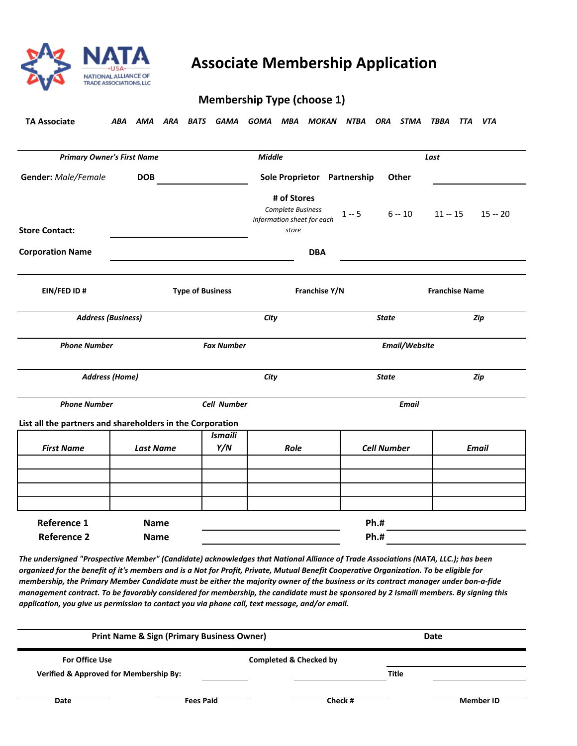

## **NAME ASSociate Membership Application**<br>NATIONAL ALLIANCE OF

## **Membership Type (choose 1)**

*ABA AMA ARA BATS GAMA GOMA MBA MOKAN NTBA ORA STMA TBBA TTA VTA*  **TA Associate** 

| <b>Primary Owner's First Name</b>                         |                            | <b>Middle</b>         |                                                                         | Last                       |                       |                                 |  |
|-----------------------------------------------------------|----------------------------|-----------------------|-------------------------------------------------------------------------|----------------------------|-----------------------|---------------------------------|--|
| <b>Gender:</b> Male/Female                                | <b>DOB</b>                 |                       | Sole Proprietor Partnership                                             |                            | Other                 |                                 |  |
| <b>Store Contact:</b>                                     |                            |                       | # of Stores<br>Complete Business<br>information sheet for each<br>store | $1 - 5$                    |                       | $6 - 10$ $11 - 15$<br>$15 - 20$ |  |
| <b>Corporation Name</b>                                   |                            |                       | <b>DBA</b>                                                              |                            |                       |                                 |  |
| EIN/FED ID#<br><b>Type of Business</b>                    |                            | Franchise Y/N         |                                                                         |                            | <b>Franchise Name</b> |                                 |  |
| <b>Address (Business)</b>                                 |                            |                       | City                                                                    |                            | <b>State</b>          | Zip                             |  |
| <b>Phone Number</b><br><b>Fax Number</b>                  |                            | Email/Website         |                                                                         |                            |                       |                                 |  |
| <b>Address (Home)</b>                                     |                            | City                  |                                                                         |                            | <b>State</b><br>Zip   |                                 |  |
| <b>Phone Number</b>                                       |                            |                       | <b>Cell Number</b>                                                      |                            | <b>Email</b>          |                                 |  |
| List all the partners and shareholders in the Corporation |                            |                       |                                                                         |                            |                       |                                 |  |
| <b>First Name</b>                                         | <b>Last Name</b>           | <b>Ismaili</b><br>Y/N | Role                                                                    |                            | <b>Cell Number</b>    | <b>Email</b>                    |  |
|                                                           |                            |                       |                                                                         |                            |                       |                                 |  |
| <b>Reference 1</b><br><b>Reference 2</b>                  | <b>Name</b><br><b>Name</b> |                       |                                                                         | <b>Ph.#</b><br><b>Ph.#</b> |                       |                                 |  |

*The undersigned "Prospective Member" (Candidate) acknowledges that National Alliance of Trade Associations (NATA, LLC.); has been organized for the benefit of it's members and is a Not for Profit, Private, Mutual Benefit Cooperative Organization. To be eligible for membership, the Primary Member Candidate must be either the majority owner of the business or its contract manager under bon-a-fide management contract. To be favorably considered for membership, the candidate must be sponsored by 2 Ismaili members. By signing this application, you give us permission to contact you via phone call, text message, and/or email.* 

| <b>Print Name &amp; Sign (Primary Business Owner)</b> |                  |                                   | Date         |                  |  |
|-------------------------------------------------------|------------------|-----------------------------------|--------------|------------------|--|
| <b>For Office Use</b>                                 |                  | <b>Completed &amp; Checked by</b> |              |                  |  |
| <b>Verified &amp; Approved for Membership By:</b>     |                  |                                   | <b>Title</b> |                  |  |
| Date                                                  | <b>Fees Paid</b> | Check #                           |              | <b>Member ID</b> |  |